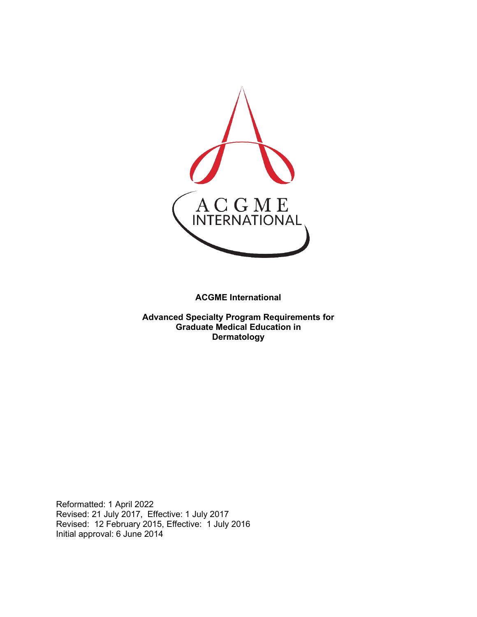

**ACGME International** 

**Advanced Specialty Program Requirements for Graduate Medical Education in Dermatology**

Reformatted: 1 April 2022 Revised: 21 July 2017, Effective: 1 July 2017 Revised: 12 February 2015, Effective: 1 July 2016 Initial approval: 6 June 2014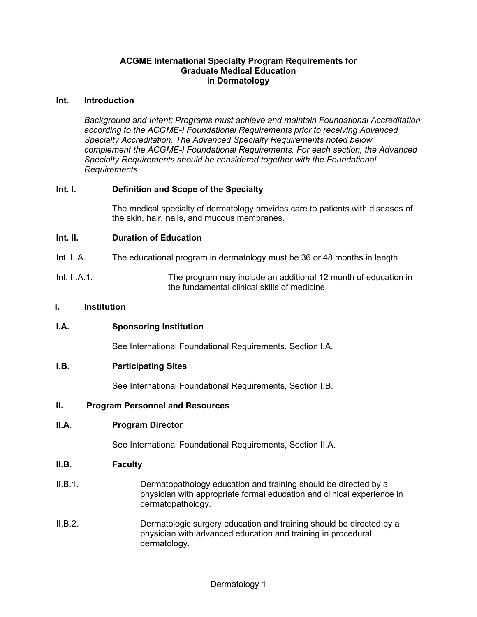## **ACGME International Specialty Program Requirements for Graduate Medical Education in Dermatology**

#### **Int. Introduction**

*Background and Intent: Programs must achieve and maintain Foundational Accreditation according to the ACGME-I Foundational Requirements prior to receiving Advanced Specialty Accreditation. The Advanced Specialty Requirements noted below complement the ACGME-I Foundational Requirements. For each section, the Advanced Specialty Requirements should be considered together with the Foundational Requirements.*

## **Int. I. Definition and Scope of the Specialty**

The medical specialty of dermatology provides care to patients with diseases of the skin, hair, nails, and mucous membranes.

#### **Int. II. Duration of Education**

- Int. II.A. The educational program in dermatology must be 36 or 48 months in length.
- Int. II.A.1. The program may include an additional 12 month of education in the fundamental clinical skills of medicine.

#### **I. Institution**

## **I.A. Sponsoring Institution**

See International Foundational Requirements, Section I.A.

#### **I.B. Participating Sites**

See International Foundational Requirements, Section I.B.

#### **II. Program Personnel and Resources**

#### **II.A. Program Director**

See International Foundational Requirements, Section II.A.

#### **II.B. Faculty**

- II.B.1. Dermatopathology education and training should be directed by a physician with appropriate formal education and clinical experience in dermatopathology.
- II.B.2. Dermatologic surgery education and training should be directed by a physician with advanced education and training in procedural dermatology.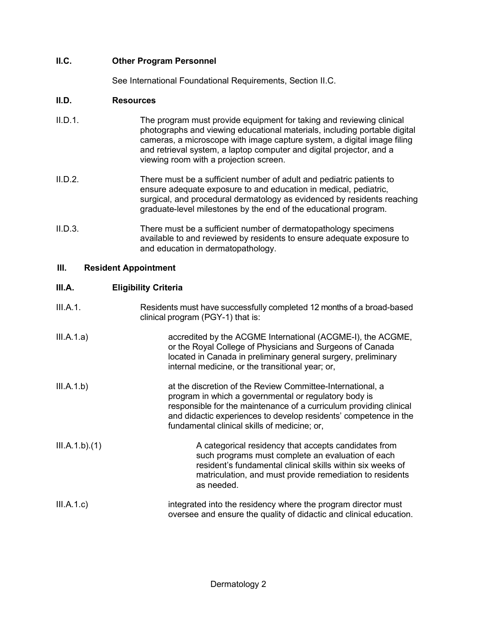# **II.C. Other Program Personnel**

See International Foundational Requirements, Section II.C.

## **II.D. Resources**

- II.D.1. The program must provide equipment for taking and reviewing clinical photographs and viewing educational materials, including portable digital cameras, a microscope with image capture system, a digital image filing and retrieval system, a laptop computer and digital projector, and a viewing room with a projection screen.
- II.D.2. There must be a sufficient number of adult and pediatric patients to ensure adequate exposure to and education in medical, pediatric, surgical, and procedural dermatology as evidenced by residents reaching graduate-level milestones by the end of the educational program.
- II.D.3. There must be a sufficient number of dermatopathology specimens available to and reviewed by residents to ensure adequate exposure to and education in dermatopathology.

# **III. Resident Appointment**

## **III.A. Eligibility Criteria**

| III.A.1.      | Residents must have successfully completed 12 months of a broad-based<br>clinical program (PGY-1) that is:                                                                                                                                                                                                    |
|---------------|---------------------------------------------------------------------------------------------------------------------------------------------------------------------------------------------------------------------------------------------------------------------------------------------------------------|
| III.A.1.a)    | accredited by the ACGME International (ACGME-I), the ACGME,<br>or the Royal College of Physicians and Surgeons of Canada<br>located in Canada in preliminary general surgery, preliminary<br>internal medicine, or the transitional year; or,                                                                 |
| III.A.1.b)    | at the discretion of the Review Committee-International, a<br>program in which a governmental or regulatory body is<br>responsible for the maintenance of a curriculum providing clinical<br>and didactic experiences to develop residents' competence in the<br>fundamental clinical skills of medicine; or, |
| III.A.1.b)(1) | A categorical residency that accepts candidates from<br>such programs must complete an evaluation of each<br>resident's fundamental clinical skills within six weeks of<br>matriculation, and must provide remediation to residents<br>as needed.                                                             |
| III.A.1.c)    | integrated into the residency where the program director must<br>oversee and ensure the quality of didactic and clinical education.                                                                                                                                                                           |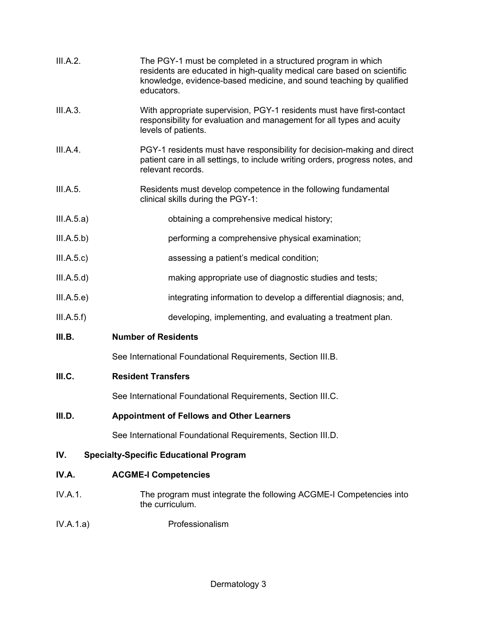| III.A.2.   | The PGY-1 must be completed in a structured program in which<br>residents are educated in high-quality medical care based on scientific<br>knowledge, evidence-based medicine, and sound teaching by qualified<br>educators. |
|------------|------------------------------------------------------------------------------------------------------------------------------------------------------------------------------------------------------------------------------|
| III.A.3.   | With appropriate supervision, PGY-1 residents must have first-contact<br>responsibility for evaluation and management for all types and acuity<br>levels of patients.                                                        |
| III.A.4.   | PGY-1 residents must have responsibility for decision-making and direct<br>patient care in all settings, to include writing orders, progress notes, and<br>relevant records.                                                 |
| III.A.5.   | Residents must develop competence in the following fundamental<br>clinical skills during the PGY-1:                                                                                                                          |
| III.A.5.a) | obtaining a comprehensive medical history;                                                                                                                                                                                   |
| III.A.5.b) | performing a comprehensive physical examination;                                                                                                                                                                             |
| III.A.5.c) | assessing a patient's medical condition;                                                                                                                                                                                     |
| III.A.5.d) | making appropriate use of diagnostic studies and tests;                                                                                                                                                                      |
| III.A.5.e) | integrating information to develop a differential diagnosis; and,                                                                                                                                                            |
| III.A.5.f) | developing, implementing, and evaluating a treatment plan.                                                                                                                                                                   |
| III.B.     | <b>Number of Residents</b>                                                                                                                                                                                                   |
|            | See International Foundational Requirements, Section III.B.                                                                                                                                                                  |
| III.C.     | <b>Resident Transfers</b>                                                                                                                                                                                                    |
|            | See International Foundational Requirements, Section III.C.                                                                                                                                                                  |
| III.D.     | <b>Appointment of Fellows and Other Learners</b>                                                                                                                                                                             |
|            | See International Foundational Requirements, Section III.D.                                                                                                                                                                  |
| IV.        | <b>Specialty-Specific Educational Program</b>                                                                                                                                                                                |

# **IV.A. ACGME-I Competencies**

- IV.A.1. The program must integrate the following ACGME-I Competencies into the curriculum.
- IV.A.1.a) Professionalism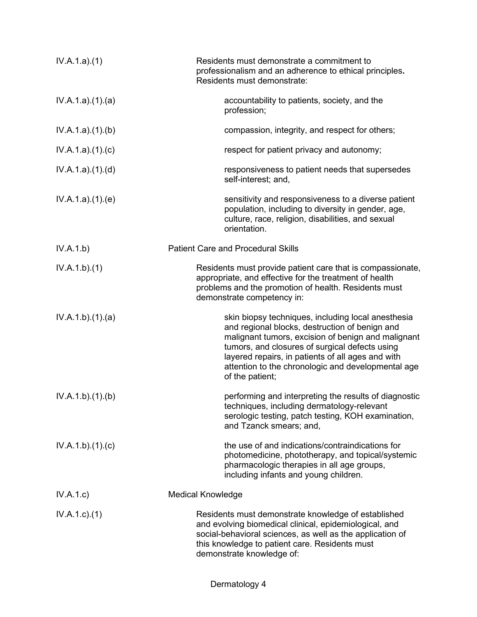| IV.A.1.a)(1)    | Residents must demonstrate a commitment to<br>professionalism and an adherence to ethical principles.<br>Residents must demonstrate:                                                                                                                                                                                                       |
|-----------------|--------------------------------------------------------------------------------------------------------------------------------------------------------------------------------------------------------------------------------------------------------------------------------------------------------------------------------------------|
| IV.A.1.a)(1)(a) | accountability to patients, society, and the<br>profession;                                                                                                                                                                                                                                                                                |
| IV.A.1.a)(1)(b) | compassion, integrity, and respect for others;                                                                                                                                                                                                                                                                                             |
| IV.A.1.a)(1)(c) | respect for patient privacy and autonomy;                                                                                                                                                                                                                                                                                                  |
| IV.A.1.a)(1)(d) | responsiveness to patient needs that supersedes<br>self-interest; and,                                                                                                                                                                                                                                                                     |
| IV.A.1.a)(1)(e) | sensitivity and responsiveness to a diverse patient<br>population, including to diversity in gender, age,<br>culture, race, religion, disabilities, and sexual<br>orientation.                                                                                                                                                             |
| IV.A.1.b)       | <b>Patient Care and Procedural Skills</b>                                                                                                                                                                                                                                                                                                  |
| IV.A.1.b)(1)    | Residents must provide patient care that is compassionate,<br>appropriate, and effective for the treatment of health<br>problems and the promotion of health. Residents must<br>demonstrate competency in:                                                                                                                                 |
| IV.A.1.b)(1)(a) | skin biopsy techniques, including local anesthesia<br>and regional blocks, destruction of benign and<br>malignant tumors, excision of benign and malignant<br>tumors, and closures of surgical defects using<br>layered repairs, in patients of all ages and with<br>attention to the chronologic and developmental age<br>of the patient; |
| IV.A.1.b)(1)(b) | performing and interpreting the results of diagnostic<br>techniques, including dermatology-relevant<br>serologic testing, patch testing, KOH examination,<br>and Tzanck smears; and,                                                                                                                                                       |
| IV.A.1.b)(1)(c) | the use of and indications/contraindications for<br>photomedicine, phototherapy, and topical/systemic<br>pharmacologic therapies in all age groups,<br>including infants and young children.                                                                                                                                               |
| IV.A.1.c)       | <b>Medical Knowledge</b>                                                                                                                                                                                                                                                                                                                   |
| $IV.A.1.c.$ (1) | Residents must demonstrate knowledge of established<br>and evolving biomedical clinical, epidemiological, and<br>social-behavioral sciences, as well as the application of<br>this knowledge to patient care. Residents must<br>demonstrate knowledge of:                                                                                  |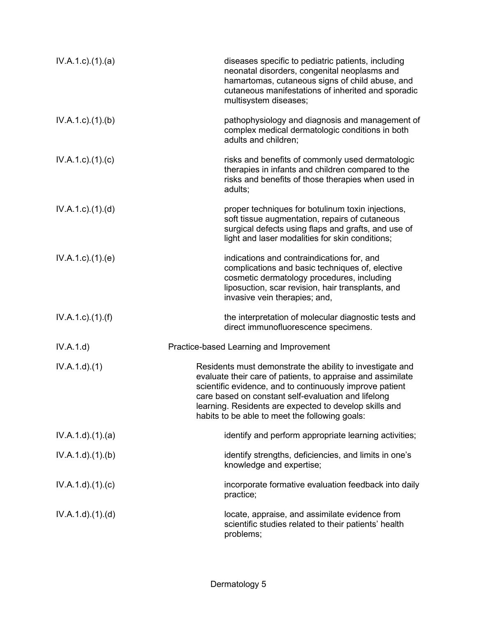| $IV.A.1.c$ . $(1).$ $(a)$ | diseases specific to pediatric patients, including<br>neonatal disorders, congenital neoplasms and<br>hamartomas, cutaneous signs of child abuse, and<br>cutaneous manifestations of inherited and sporadic<br>multisystem diseases;                                                                                                                    |
|---------------------------|---------------------------------------------------------------------------------------------------------------------------------------------------------------------------------------------------------------------------------------------------------------------------------------------------------------------------------------------------------|
| $IV.A.1.c.$ (1).(b)       | pathophysiology and diagnosis and management of<br>complex medical dermatologic conditions in both<br>adults and children;                                                                                                                                                                                                                              |
| $IV.A.1.c$ . $(1).$ $(c)$ | risks and benefits of commonly used dermatologic<br>therapies in infants and children compared to the<br>risks and benefits of those therapies when used in<br>adults;                                                                                                                                                                                  |
| $IV.A.1.c$ . $(1).$ $(d)$ | proper techniques for botulinum toxin injections,<br>soft tissue augmentation, repairs of cutaneous<br>surgical defects using flaps and grafts, and use of<br>light and laser modalities for skin conditions;                                                                                                                                           |
| $IV.A.1.c$ . $(1).$ $(e)$ | indications and contraindications for, and<br>complications and basic techniques of, elective<br>cosmetic dermatology procedures, including<br>liposuction, scar revision, hair transplants, and<br>invasive vein therapies; and,                                                                                                                       |
| $IV.A.1.c$ ). $(1).(f)$   | the interpretation of molecular diagnostic tests and<br>direct immunofluorescence specimens.                                                                                                                                                                                                                                                            |
| IV.A.1.d)                 | Practice-based Learning and Improvement                                                                                                                                                                                                                                                                                                                 |
| IV.A.1.d.(1)              | Residents must demonstrate the ability to investigate and<br>evaluate their care of patients, to appraise and assimilate<br>scientific evidence, and to continuously improve patient<br>care based on constant self-evaluation and lifelong<br>learning. Residents are expected to develop skills and<br>habits to be able to meet the following goals: |
| IV.A.1.d)(1)(a)           | identify and perform appropriate learning activities;                                                                                                                                                                                                                                                                                                   |
| IV.A.1.d.(1)(b)           | identify strengths, deficiencies, and limits in one's<br>knowledge and expertise;                                                                                                                                                                                                                                                                       |
| IV.A.1.d)(1)(c)           | incorporate formative evaluation feedback into daily<br>practice;                                                                                                                                                                                                                                                                                       |
| IV.A.1.d.(1).(d)          | locate, appraise, and assimilate evidence from<br>scientific studies related to their patients' health<br>problems;                                                                                                                                                                                                                                     |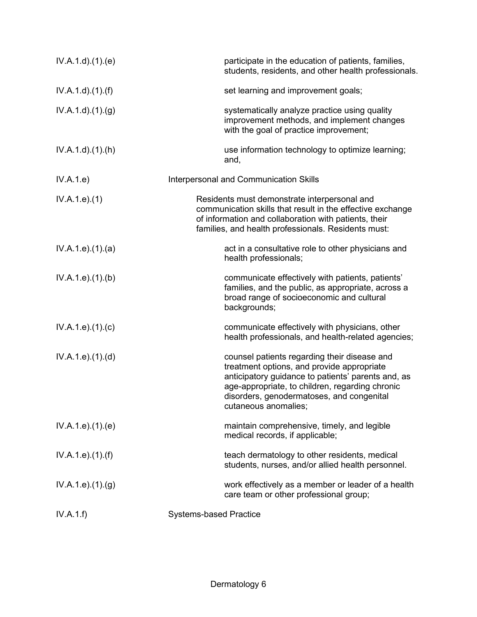| IV.A.1.d.(1)(e)               | participate in the education of patients, families,<br>students, residents, and other health professionals.                                                                                                                                                              |
|-------------------------------|--------------------------------------------------------------------------------------------------------------------------------------------------------------------------------------------------------------------------------------------------------------------------|
| IV.A.1.d)(1.(f))              | set learning and improvement goals;                                                                                                                                                                                                                                      |
| IV.A.1.d.(1). <sub>(g)</sub>  | systematically analyze practice using quality<br>improvement methods, and implement changes<br>with the goal of practice improvement;                                                                                                                                    |
| IV.A.1.d.(1).(h)              | use information technology to optimize learning;<br>and,                                                                                                                                                                                                                 |
| IV.A.1.e)                     | Interpersonal and Communication Skills                                                                                                                                                                                                                                   |
| IV.A.1.e. (1)                 | Residents must demonstrate interpersonal and<br>communication skills that result in the effective exchange<br>of information and collaboration with patients, their<br>families, and health professionals. Residents must:                                               |
| IV.A.1.e. (1). (a)            | act in a consultative role to other physicians and<br>health professionals;                                                                                                                                                                                              |
| IV.A.1.e. (1)(b)              | communicate effectively with patients, patients'<br>families, and the public, as appropriate, across a<br>broad range of socioeconomic and cultural<br>backgrounds;                                                                                                      |
| IV.A.1.e. (1)(c)              | communicate effectively with physicians, other<br>health professionals, and health-related agencies;                                                                                                                                                                     |
| IV.A.1.e. (1). (d)            | counsel patients regarding their disease and<br>treatment options, and provide appropriate<br>anticipatory guidance to patients' parents and, as<br>age-appropriate, to children, regarding chronic<br>disorders, genodermatoses, and congenital<br>cutaneous anomalies; |
| IV.A.1.e. (1)(e)              | maintain comprehensive, timely, and legible<br>medical records, if applicable;                                                                                                                                                                                           |
| IV.A.1.e. (1). (f)            | teach dermatology to other residents, medical<br>students, nurses, and/or allied health personnel.                                                                                                                                                                       |
| IV.A.1.e. (1). <sub>(g)</sub> | work effectively as a member or leader of a health<br>care team or other professional group;                                                                                                                                                                             |
| IV.A.1.f)                     | <b>Systems-based Practice</b>                                                                                                                                                                                                                                            |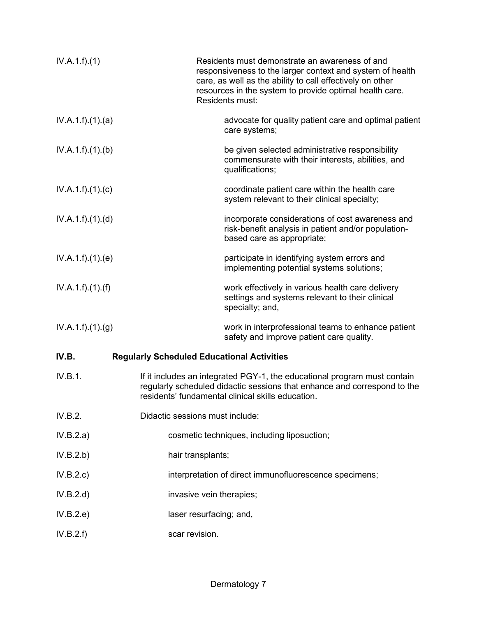| IV.A.1.f)(1)      | Residents must demonstrate an awareness of and<br>responsiveness to the larger context and system of health<br>care, as well as the ability to call effectively on other<br>resources in the system to provide optimal health care.<br>Residents must: |
|-------------------|--------------------------------------------------------------------------------------------------------------------------------------------------------------------------------------------------------------------------------------------------------|
| IV.A.1.f)(1)(a)   | advocate for quality patient care and optimal patient<br>care systems;                                                                                                                                                                                 |
| IV.A.1.f)(1)(b)   | be given selected administrative responsibility<br>commensurate with their interests, abilities, and<br>qualifications;                                                                                                                                |
| IV.A.1.f)(1)(c)   | coordinate patient care within the health care<br>system relevant to their clinical specialty;                                                                                                                                                         |
| IV.A.1.f)(1)(d)   | incorporate considerations of cost awareness and<br>risk-benefit analysis in patient and/or population-<br>based care as appropriate;                                                                                                                  |
| IV.A.1.f)(1)(e)   | participate in identifying system errors and<br>implementing potential systems solutions;                                                                                                                                                              |
| IV.A.1.f).(1).(f) | work effectively in various health care delivery<br>settings and systems relevant to their clinical<br>specialty; and,                                                                                                                                 |
| IV.A.1.f)(1)(g)   | work in interprofessional teams to enhance patient<br>safety and improve patient care quality.                                                                                                                                                         |
| IV.B.             | <b>Regularly Scheduled Educational Activities</b>                                                                                                                                                                                                      |
| IV.B.1.           | If it includes an integrated PGY-1, the educational program must contain<br>regularly scheduled didactic sessions that enhance and correspond to the<br>residents' fundamental clinical skills education.                                              |
| IV.B.2.           | Didactic sessions must include:                                                                                                                                                                                                                        |
| IV.B.2.a)         | cosmetic techniques, including liposuction;                                                                                                                                                                                                            |
| IV.B.2.b)         | hair transplants;                                                                                                                                                                                                                                      |
| IV.B.2.c)         | interpretation of direct immunofluorescence specimens;                                                                                                                                                                                                 |
| IV.B.2.d)         | invasive vein therapies;                                                                                                                                                                                                                               |
| IV.B.2.e)         | laser resurfacing; and,                                                                                                                                                                                                                                |
| IV.B.2.f)         | scar revision.                                                                                                                                                                                                                                         |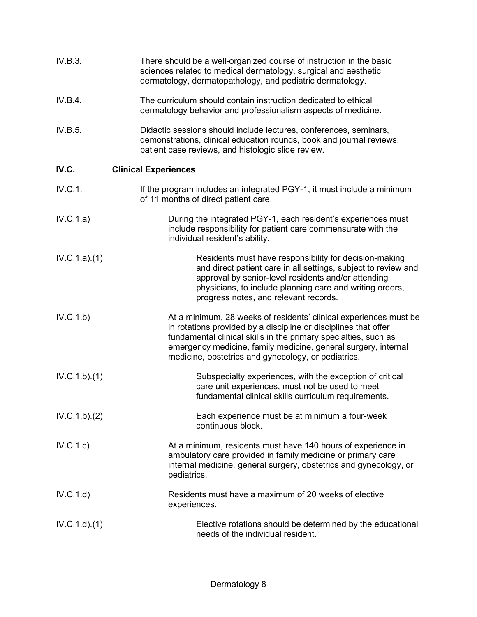| IV.B.3.      | There should be a well-organized course of instruction in the basic<br>sciences related to medical dermatology, surgical and aesthetic<br>dermatology, dermatopathology, and pediatric dermatology.                                                                                                                              |
|--------------|----------------------------------------------------------------------------------------------------------------------------------------------------------------------------------------------------------------------------------------------------------------------------------------------------------------------------------|
| IV.B.4.      | The curriculum should contain instruction dedicated to ethical<br>dermatology behavior and professionalism aspects of medicine.                                                                                                                                                                                                  |
| IV.B.5.      | Didactic sessions should include lectures, conferences, seminars,<br>demonstrations, clinical education rounds, book and journal reviews,<br>patient case reviews, and histologic slide review.                                                                                                                                  |
| IV.C.        | <b>Clinical Experiences</b>                                                                                                                                                                                                                                                                                                      |
| IV.C.1.      | If the program includes an integrated PGY-1, it must include a minimum<br>of 11 months of direct patient care.                                                                                                                                                                                                                   |
| IV.C.1.a)    | During the integrated PGY-1, each resident's experiences must<br>include responsibility for patient care commensurate with the<br>individual resident's ability.                                                                                                                                                                 |
| IV.C.1.a)(1) | Residents must have responsibility for decision-making<br>and direct patient care in all settings, subject to review and<br>approval by senior-level residents and/or attending<br>physicians, to include planning care and writing orders,<br>progress notes, and relevant records.                                             |
| IV.C.1.b)    | At a minimum, 28 weeks of residents' clinical experiences must be<br>in rotations provided by a discipline or disciplines that offer<br>fundamental clinical skills in the primary specialties, such as<br>emergency medicine, family medicine, general surgery, internal<br>medicine, obstetrics and gynecology, or pediatrics. |
| IV.C.1.b)(1) | Subspecialty experiences, with the exception of critical<br>care unit experiences, must not be used to meet<br>fundamental clinical skills curriculum requirements.                                                                                                                                                              |
| IV.C.1.b)(2) | Each experience must be at minimum a four-week<br>continuous block.                                                                                                                                                                                                                                                              |
| IV.C.1.c)    | At a minimum, residents must have 140 hours of experience in<br>ambulatory care provided in family medicine or primary care<br>internal medicine, general surgery, obstetrics and gynecology, or<br>pediatrics.                                                                                                                  |
| IV.C.1.d)    | Residents must have a maximum of 20 weeks of elective<br>experiences.                                                                                                                                                                                                                                                            |
| IV.C.1.d)(1) | Elective rotations should be determined by the educational<br>needs of the individual resident.                                                                                                                                                                                                                                  |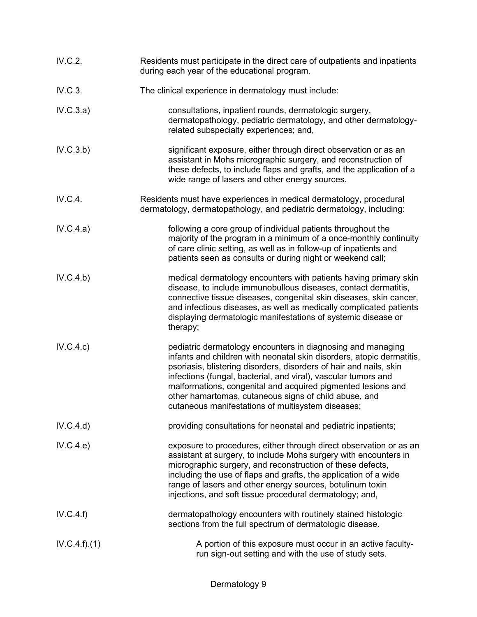| IV.C.2.      | Residents must participate in the direct care of outpatients and inpatients<br>during each year of the educational program.                                                                                                                                                                                                                                                                                                                                |
|--------------|------------------------------------------------------------------------------------------------------------------------------------------------------------------------------------------------------------------------------------------------------------------------------------------------------------------------------------------------------------------------------------------------------------------------------------------------------------|
| IV.C.3.      | The clinical experience in dermatology must include:                                                                                                                                                                                                                                                                                                                                                                                                       |
| IV.C.3.a)    | consultations, inpatient rounds, dermatologic surgery,<br>dermatopathology, pediatric dermatology, and other dermatology-<br>related subspecialty experiences; and,                                                                                                                                                                                                                                                                                        |
| IV.C.3.b)    | significant exposure, either through direct observation or as an<br>assistant in Mohs micrographic surgery, and reconstruction of<br>these defects, to include flaps and grafts, and the application of a<br>wide range of lasers and other energy sources.                                                                                                                                                                                                |
| IV.C.4.      | Residents must have experiences in medical dermatology, procedural<br>dermatology, dermatopathology, and pediatric dermatology, including:                                                                                                                                                                                                                                                                                                                 |
| IV.C.4.a)    | following a core group of individual patients throughout the<br>majority of the program in a minimum of a once-monthly continuity<br>of care clinic setting, as well as in follow-up of inpatients and<br>patients seen as consults or during night or weekend call;                                                                                                                                                                                       |
| IV.C.4.b)    | medical dermatology encounters with patients having primary skin<br>disease, to include immunobullous diseases, contact dermatitis,<br>connective tissue diseases, congenital skin diseases, skin cancer,<br>and infectious diseases, as well as medically complicated patients<br>displaying dermatologic manifestations of systemic disease or<br>therapy;                                                                                               |
| IV.C.4.c)    | pediatric dermatology encounters in diagnosing and managing<br>infants and children with neonatal skin disorders, atopic dermatitis,<br>psoriasis, blistering disorders, disorders of hair and nails, skin<br>infections (fungal, bacterial, and viral), vascular tumors and<br>malformations, congenital and acquired pigmented lesions and<br>other hamartomas, cutaneous signs of child abuse, and<br>cutaneous manifestations of multisystem diseases; |
| IV.C.4.d)    | providing consultations for neonatal and pediatric inpatients;                                                                                                                                                                                                                                                                                                                                                                                             |
| IV.C.4.e)    | exposure to procedures, either through direct observation or as an<br>assistant at surgery, to include Mohs surgery with encounters in<br>micrographic surgery, and reconstruction of these defects,<br>including the use of flaps and grafts, the application of a wide<br>range of lasers and other energy sources, botulinum toxin<br>injections, and soft tissue procedural dermatology; and,                                                          |
| IV.C.4.f)    | dermatopathology encounters with routinely stained histologic<br>sections from the full spectrum of dermatologic disease.                                                                                                                                                                                                                                                                                                                                  |
| IV.C.4.f)(1) | A portion of this exposure must occur in an active faculty-<br>run sign-out setting and with the use of study sets.                                                                                                                                                                                                                                                                                                                                        |